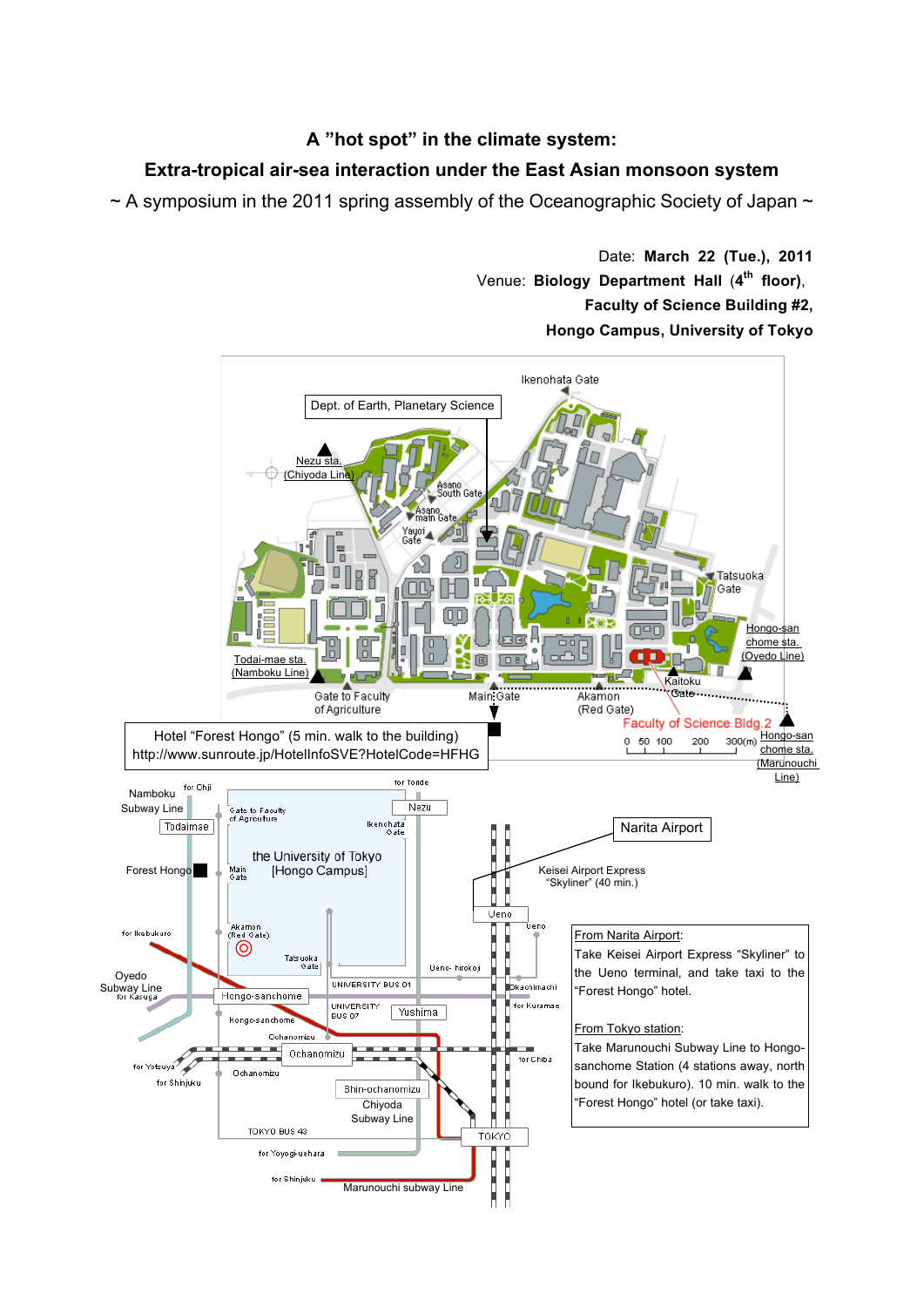## **A "hot spot" in the climate system:**

## **Extra-tropical air-sea interaction under the East Asian monsoon system**

 $\sim$  A symposium in the 2011 spring assembly of the Oceanographic Society of Japan  $\sim$ 

Date: **March 22 (Tue.), 2011** Venue: **Biology Department Hall** (**4th floor)**, **Faculty of Science Building #2, Hongo Campus, University of Tokyo**